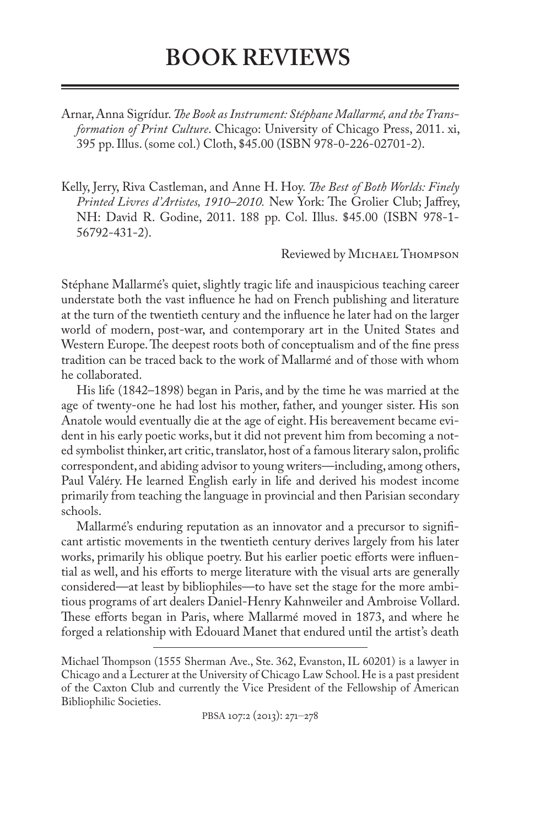Arnar, Anna Sigrídur. *The Book as Instrument: Stéphane Mallarmé, and the Transformation of Print Culture*. Chicago: University of Chicago Press, 2011. xi, 395 pp. Illus. (some col.) Cloth, \$45.00 (ISBN 978-0-226-02701-2).

Kelly, Jerry, Riva Castleman, and Anne H. Hoy. *The Best of Both Worlds: Finely Printed Livres d'Artistes, 1910–2010.* New York: The Grolier Club; Jaffrey, NH: David R. Godine, 2011. 188 pp. Col. Illus. \$45.00 (ISBN 978-1- 56792-431-2).

Reviewed by MICHAEL THOMPSON

Stéphane Mallarmé's quiet, slightly tragic life and inauspicious teaching career understate both the vast influence he had on French publishing and literature at the turn of the twentieth century and the influence he later had on the larger world of modern, post-war, and contemporary art in the United States and Western Europe. The deepest roots both of conceptualism and of the fine press tradition can be traced back to the work of Mallarmé and of those with whom he collaborated.

His life (1842–1898) began in Paris, and by the time he was married at the age of twenty-one he had lost his mother, father, and younger sister. His son Anatole would eventually die at the age of eight. His bereavement became evident in his early poetic works, but it did not prevent him from becoming a noted symbolist thinker, art critic, translator, host of a famous literary salon, prolific correspondent, and abiding advisor to young writers—including, among others, Paul Valéry. He learned English early in life and derived his modest income primarily from teaching the language in provincial and then Parisian secondary schools.

Mallarmé's enduring reputation as an innovator and a precursor to significant artistic movements in the twentieth century derives largely from his later works, primarily his oblique poetry. But his earlier poetic efforts were influential as well, and his efforts to merge literature with the visual arts are generally considered—at least by bibliophiles—to have set the stage for the more ambitious programs of art dealers Daniel-Henry Kahnweiler and Ambroise Vollard. These efforts began in Paris, where Mallarmé moved in 1873, and where he forged a relationship with Edouard Manet that endured until the artist's death

pbsa 107:2 (2013): 271–278

Michael Thompson (1555 Sherman Ave., Ste. 362, Evanston, IL 60201) is a lawyer in Chicago and a Lecturer at the University of Chicago Law School. He is a past president of the Caxton Club and currently the Vice President of the Fellowship of American Bibliophilic Societies.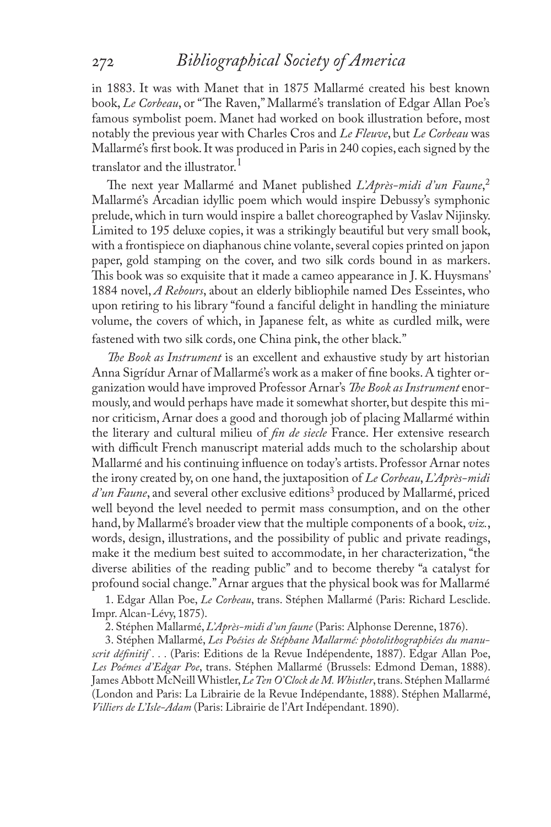in 1883. It was with Manet that in 1875 Mallarmé created his best known book, *Le Corbeau*, or "The Raven," Mallarmé's translation of Edgar Allan Poe's famous symbolist poem. Manet had worked on book illustration before, most notably the previous year with Charles Cros and *Le Fleuve*, but *Le Corbeau* was Mallarmé's first book. It was produced in Paris in 240 copies, each signed by the translator and the illustrator.

The next year Mallarmé and Manet published *L'Après-midi d'un Faune*, 2 Mallarmé's Arcadian idyllic poem which would inspire Debussy's symphonic prelude, which in turn would inspire a ballet choreographed by Vaslav Nijinsky. Limited to 195 deluxe copies, it was a strikingly beautiful but very small book, with a frontispiece on diaphanous chine volante, several copies printed on japon paper, gold stamping on the cover, and two silk cords bound in as markers. This book was so exquisite that it made a cameo appearance in J. K. Huysmans' 1884 novel, *A Rebours*, about an elderly bibliophile named Des Esseintes, who upon retiring to his library "found a fanciful delight in handling the miniature volume, the covers of which, in Japanese felt, as white as curdled milk, were fastened with two silk cords, one China pink, the other black."

*The Book as Instrument* is an excellent and exhaustive study by art historian Anna Sigrídur Arnar of Mallarmé's work as a maker of fine books. A tighter organization would have improved Professor Arnar's *The Book as Instrument* enormously, and would perhaps have made it somewhat shorter, but despite this minor criticism, Arnar does a good and thorough job of placing Mallarmé within the literary and cultural milieu of *fin de siecle* France. Her extensive research with difficult French manuscript material adds much to the scholarship about Mallarmé and his continuing influence on today's artists. Professor Arnar notes the irony created by, on one hand, the juxtaposition of *Le Corbeau*, *L'Après-midi*  d'un Faune, and several other exclusive editions<sup>3</sup> produced by Mallarmé, priced well beyond the level needed to permit mass consumption, and on the other hand, by Mallarmé's broader view that the multiple components of a book, *viz.*, words, design, illustrations, and the possibility of public and private readings, make it the medium best suited to accommodate, in her characterization, "the diverse abilities of the reading public" and to become thereby "a catalyst for profound social change." Arnar argues that the physical book was for Mallarmé

1. Edgar Allan Poe, *Le Corbeau*, trans. Stéphen Mallarmé (Paris: Richard Lesclide. Impr. Alcan-Lévy, 1875).

2. Stéphen Mallarmé, *L'Après-midi d'un faune* (Paris: Alphonse Derenne, 1876).

3. Stéphen Mallarmé, *Les Poésies de Stéphane Mallarmé: photolithographiées du manuscrit définitif . . .* (Paris: Editions de la Revue Indépendente, 1887). Edgar Allan Poe, *Les Poémes d'Edgar Poe*, trans. Stéphen Mallarmé (Brussels: Edmond Deman, 1888). James Abbott McNeill Whistler, *Le Ten O'Clock de M. Whistler*, trans. Stéphen Mallarmé (London and Paris: La Librairie de la Revue Indépendante, 1888). Stéphen Mallarmé, *Villiers de L'Isle-Adam* (Paris: Librairie de l'Art Indépendant. 1890).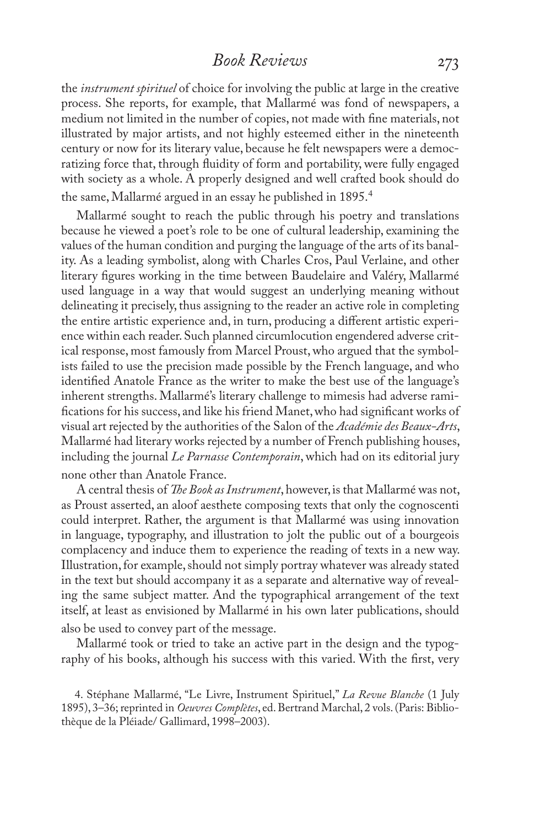## *Book Reviews* 273

the *instrument spirituel* of choice for involving the public at large in the creative process. She reports, for example, that Mallarmé was fond of newspapers, a medium not limited in the number of copies, not made with fine materials, not illustrated by major artists, and not highly esteemed either in the nineteenth century or now for its literary value, because he felt newspapers were a democratizing force that, through fluidity of form and portability, were fully engaged with society as a whole. A properly designed and well crafted book should do the same, Mallarmé argued in an essay he published in 1895.4

Mallarmé sought to reach the public through his poetry and translations because he viewed a poet's role to be one of cultural leadership, examining the values of the human condition and purging the language of the arts of its banality. As a leading symbolist, along with Charles Cros, Paul Verlaine, and other literary figures working in the time between Baudelaire and Valéry, Mallarmé used language in a way that would suggest an underlying meaning without delineating it precisely, thus assigning to the reader an active role in completing the entire artistic experience and, in turn, producing a different artistic experience within each reader. Such planned circumlocution engendered adverse critical response, most famously from Marcel Proust, who argued that the symbolists failed to use the precision made possible by the French language, and who identified Anatole France as the writer to make the best use of the language's inherent strengths. Mallarmé's literary challenge to mimesis had adverse ramifications for his success, and like his friend Manet, who had significant works of visual art rejected by the authorities of the Salon of the *Académie des Beaux-Arts*, Mallarmé had literary works rejected by a number of French publishing houses, including the journal *Le Parnasse Contemporain*, which had on its editorial jury none other than Anatole France.

A central thesis of *The Book as Instrument*, however, is that Mallarmé was not, as Proust asserted, an aloof aesthete composing texts that only the cognoscenti could interpret. Rather, the argument is that Mallarmé was using innovation in language, typography, and illustration to jolt the public out of a bourgeois complacency and induce them to experience the reading of texts in a new way. Illustration, for example, should not simply portray whatever was already stated in the text but should accompany it as a separate and alternative way of revealing the same subject matter. And the typographical arrangement of the text itself, at least as envisioned by Mallarmé in his own later publications, should also be used to convey part of the message.

Mallarmé took or tried to take an active part in the design and the typography of his books, although his success with this varied. With the first, very

4. Stéphane Mallarmé, "Le Livre, Instrument Spirituel," *La Revue Blanche* (1 July 1895), 3–36; reprinted in *Oeuvres Complètes*, ed. Bertrand Marchal, 2 vols. (Paris: Bibliothèque de la Pléiade/ Gallimard, 1998–2003).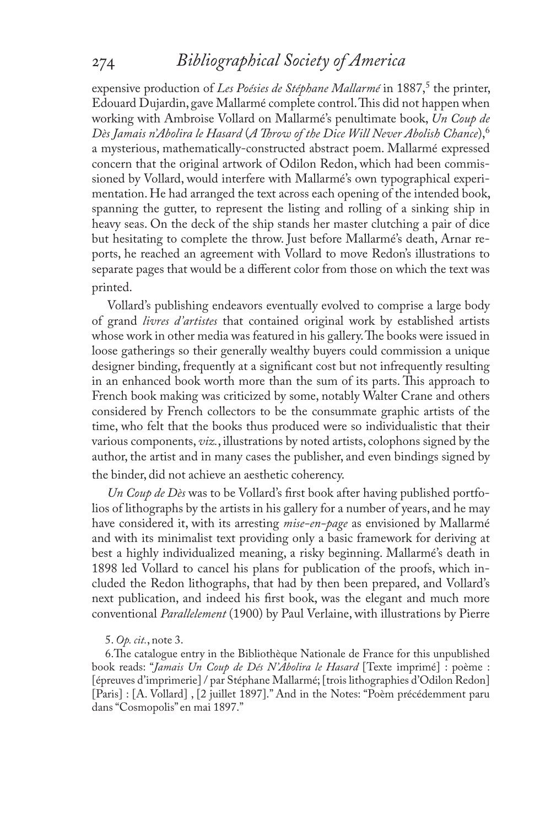# 274 *Bibliographical Society of America*

expensive production of *Les Poésies de Stéphane Mallarmé* in 1887,<sup>5</sup> the printer, Edouard Dujardin, gave Mallarmé complete control. This did not happen when working with Ambroise Vollard on Mallarmé's penultimate book, *Un Coup de Dès Jamais n'Abolira le Hasard* (*A Throw of the Dice Will Never Abolish Chance*),6 a mysterious, mathematically-constructed abstract poem. Mallarmé expressed concern that the original artwork of Odilon Redon, which had been commissioned by Vollard, would interfere with Mallarmé's own typographical experimentation. He had arranged the text across each opening of the intended book, spanning the gutter, to represent the listing and rolling of a sinking ship in heavy seas. On the deck of the ship stands her master clutching a pair of dice but hesitating to complete the throw. Just before Mallarmé's death, Arnar reports, he reached an agreement with Vollard to move Redon's illustrations to separate pages that would be a different color from those on which the text was printed.

Vollard's publishing endeavors eventually evolved to comprise a large body of grand *livres d'artistes* that contained original work by established artists whose work in other media was featured in his gallery. The books were issued in loose gatherings so their generally wealthy buyers could commission a unique designer binding, frequently at a significant cost but not infrequently resulting in an enhanced book worth more than the sum of its parts. This approach to French book making was criticized by some, notably Walter Crane and others considered by French collectors to be the consummate graphic artists of the time, who felt that the books thus produced were so individualistic that their various components, *viz.*, illustrations by noted artists, colophons signed by the author, the artist and in many cases the publisher, and even bindings signed by the binder, did not achieve an aesthetic coherency.

*Un Coup de Dès* was to be Vollard's first book after having published portfolios of lithographs by the artists in his gallery for a number of years, and he may have considered it, with its arresting *mise-en-page* as envisioned by Mallarmé and with its minimalist text providing only a basic framework for deriving at best a highly individualized meaning, a risky beginning. Mallarmé's death in 1898 led Vollard to cancel his plans for publication of the proofs, which included the Redon lithographs, that had by then been prepared, and Vollard's next publication, and indeed his first book, was the elegant and much more conventional *Parallelement* (1900) by Paul Verlaine, with illustrations by Pierre

#### 5. *Op. cit.*, note 3.

6.The catalogue entry in the Bibliothèque Nationale de France for this unpublished book reads: "*Jamais Un Coup de Dés N'Abolira le Hasard* [Texte imprimé] : poème : [épreuves d'imprimerie] / par Stéphane Mallarmé; [trois lithographies d'Odilon Redon] [Paris] : [A. Vollard] , [2 juillet 1897]." And in the Notes: "Poèm précédemment paru dans "Cosmopolis" en mai 1897."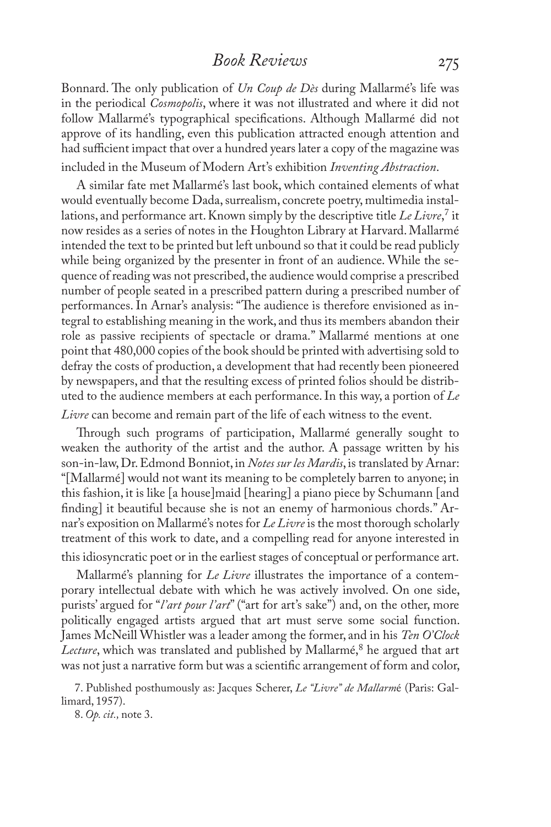### *Book Reviews* 275

Bonnard. The only publication of *Un Coup de Dès* during Mallarmé's life was in the periodical *Cosmopolis*, where it was not illustrated and where it did not follow Mallarmé's typographical specifications. Although Mallarmé did not approve of its handling, even this publication attracted enough attention and had sufficient impact that over a hundred years later a copy of the magazine was included in the Museum of Modern Art's exhibition *Inventing Abstraction*.

A similar fate met Mallarmé's last book, which contained elements of what would eventually become Dada, surrealism, concrete poetry, multimedia installations, and performance art. Known simply by the descriptive title *Le Livre*, 7 it now resides as a series of notes in the Houghton Library at Harvard. Mallarmé intended the text to be printed but left unbound so that it could be read publicly while being organized by the presenter in front of an audience. While the sequence of reading was not prescribed, the audience would comprise a prescribed number of people seated in a prescribed pattern during a prescribed number of performances. In Arnar's analysis: "The audience is therefore envisioned as integral to establishing meaning in the work, and thus its members abandon their role as passive recipients of spectacle or drama." Mallarmé mentions at one point that 480,000 copies of the book should be printed with advertising sold to defray the costs of production, a development that had recently been pioneered by newspapers, and that the resulting excess of printed folios should be distributed to the audience members at each performance. In this way, a portion of *Le Livre* can become and remain part of the life of each witness to the event.

Through such programs of participation, Mallarmé generally sought to weaken the authority of the artist and the author. A passage written by his son-in-law, Dr. Edmond Bonniot, in *Notes sur les Mardis*, is translated by Arnar: "[Mallarmé] would not want its meaning to be completely barren to anyone; in this fashion, it is like [a house]maid [hearing] a piano piece by Schumann [and finding] it beautiful because she is not an enemy of harmonious chords." Arnar's exposition on Mallarmé's notes for *Le Livre* is the most thorough scholarly treatment of this work to date, and a compelling read for anyone interested in this idiosyncratic poet or in the earliest stages of conceptual or performance art.

Mallarmé's planning for *Le Livre* illustrates the importance of a contemporary intellectual debate with which he was actively involved. On one side, purists' argued for "*l'art pour l'art*" ("art for art's sake") and, on the other, more politically engaged artists argued that art must serve some social function. James McNeill Whistler was a leader among the former, and in his *Ten O'Clock*  Lecture, which was translated and published by Mallarmé,<sup>8</sup> he argued that art was not just a narrative form but was a scientific arrangement of form and color,

7. Published posthumously as: Jacques Scherer, *Le "Livre" de Mallarm*é (Paris: Gallimard, 1957).

8. *Op. cit.,* note 3.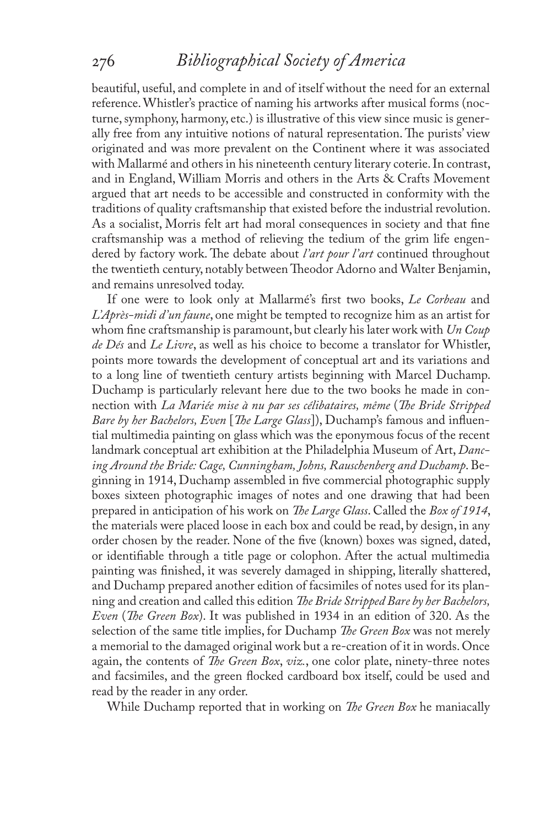## 276 *Bibliographical Society of America*

beautiful, useful, and complete in and of itself without the need for an external reference. Whistler's practice of naming his artworks after musical forms (nocturne, symphony, harmony, etc.) is illustrative of this view since music is generally free from any intuitive notions of natural representation. The purists' view originated and was more prevalent on the Continent where it was associated with Mallarmé and others in his nineteenth century literary coterie. In contrast, and in England, William Morris and others in the Arts & Crafts Movement argued that art needs to be accessible and constructed in conformity with the traditions of quality craftsmanship that existed before the industrial revolution. As a socialist, Morris felt art had moral consequences in society and that fine craftsmanship was a method of relieving the tedium of the grim life engendered by factory work. The debate about *l'art pour l'art* continued throughout the twentieth century, notably between Theodor Adorno and Walter Benjamin, and remains unresolved today.

If one were to look only at Mallarmé's first two books, *Le Corbeau* and *L'Après-midi d'un faune*, one might be tempted to recognize him as an artist for whom fine craftsmanship is paramount, but clearly his later work with *Un Coup de Dés* and *Le Livre*, as well as his choice to become a translator for Whistler, points more towards the development of conceptual art and its variations and to a long line of twentieth century artists beginning with Marcel Duchamp. Duchamp is particularly relevant here due to the two books he made in connection with *La Mariée mise à nu par ses célibataires, même* (*The Bride Stripped Bare by her Bachelors, Even* [*The Large Glass*]), Duchamp's famous and influential multimedia painting on glass which was the eponymous focus of the recent landmark conceptual art exhibition at the Philadelphia Museum of Art, *Dancing Around the Bride: Cage, Cunningham, Johns, Rauschenberg and Duchamp*. Beginning in 1914, Duchamp assembled in five commercial photographic supply boxes sixteen photographic images of notes and one drawing that had been prepared in anticipation of his work on *The Large Glass*. Called the *Box of 1914*, the materials were placed loose in each box and could be read, by design, in any order chosen by the reader. None of the five (known) boxes was signed, dated, or identifiable through a title page or colophon. After the actual multimedia painting was finished, it was severely damaged in shipping, literally shattered, and Duchamp prepared another edition of facsimiles of notes used for its planning and creation and called this edition *The Bride Stripped Bare by her Bachelors, Even* (*The Green Box*). It was published in 1934 in an edition of 320. As the selection of the same title implies, for Duchamp *The Green Box* was not merely a memorial to the damaged original work but a re-creation of it in words. Once again, the contents of *The Green Box*, *viz.*, one color plate, ninety-three notes and facsimiles, and the green flocked cardboard box itself, could be used and read by the reader in any order.

While Duchamp reported that in working on *The Green Box* he maniacally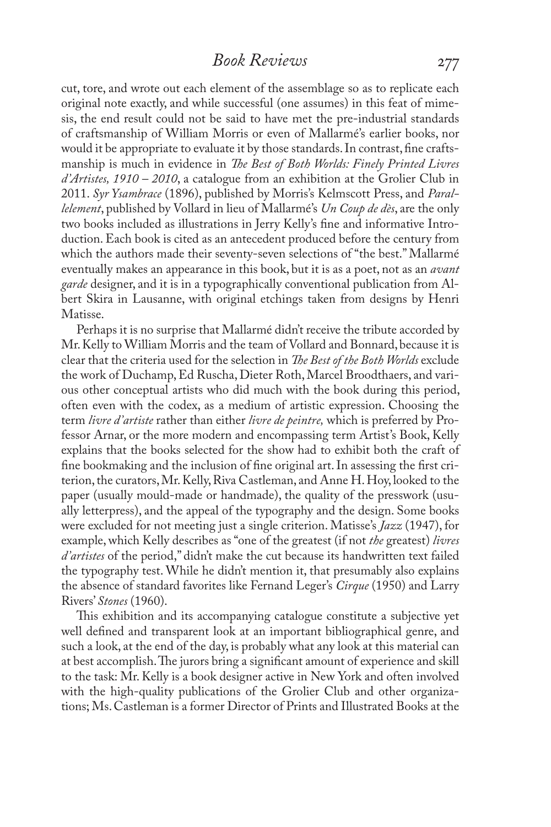### *Book Reviews* 277

cut, tore, and wrote out each element of the assemblage so as to replicate each original note exactly, and while successful (one assumes) in this feat of mimesis, the end result could not be said to have met the pre-industrial standards of craftsmanship of William Morris or even of Mallarmé's earlier books, nor would it be appropriate to evaluate it by those standards. In contrast, fine craftsmanship is much in evidence in *The Best of Both Worlds: Finely Printed Livres d'Artistes, 1910 – 2010*, a catalogue from an exhibition at the Grolier Club in 2011. *Syr Ysambrace* (1896), published by Morris's Kelmscott Press, and *Parallelement*, published by Vollard in lieu of Mallarmé's *Un Coup de dès*, are the only two books included as illustrations in Jerry Kelly's fine and informative Introduction. Each book is cited as an antecedent produced before the century from which the authors made their seventy-seven selections of "the best." Mallarmé eventually makes an appearance in this book, but it is as a poet, not as an *avant garde* designer, and it is in a typographically conventional publication from Albert Skira in Lausanne, with original etchings taken from designs by Henri Matisse.

Perhaps it is no surprise that Mallarmé didn't receive the tribute accorded by Mr. Kelly to William Morris and the team of Vollard and Bonnard, because it is clear that the criteria used for the selection in *The Best of the Both Worlds* exclude the work of Duchamp, Ed Ruscha, Dieter Roth, Marcel Broodthaers, and various other conceptual artists who did much with the book during this period, often even with the codex, as a medium of artistic expression. Choosing the term *livre d'artiste* rather than either *livre de peintre,* which is preferred by Professor Arnar, or the more modern and encompassing term Artist's Book, Kelly explains that the books selected for the show had to exhibit both the craft of fine bookmaking and the inclusion of fine original art. In assessing the first criterion, the curators, Mr. Kelly, Riva Castleman, and Anne H. Hoy, looked to the paper (usually mould-made or handmade), the quality of the presswork (usually letterpress), and the appeal of the typography and the design. Some books were excluded for not meeting just a single criterion. Matisse's *Jazz* (1947), for example, which Kelly describes as "one of the greatest (if not *the* greatest) *livres d'artistes* of the period," didn't make the cut because its handwritten text failed the typography test. While he didn't mention it, that presumably also explains the absence of standard favorites like Fernand Leger's *Cirque* (1950) and Larry Rivers' *Stones* (1960).

This exhibition and its accompanying catalogue constitute a subjective yet well defined and transparent look at an important bibliographical genre, and such a look, at the end of the day, is probably what any look at this material can at best accomplish. The jurors bring a significant amount of experience and skill to the task: Mr. Kelly is a book designer active in New York and often involved with the high-quality publications of the Grolier Club and other organizations; Ms. Castleman is a former Director of Prints and Illustrated Books at the